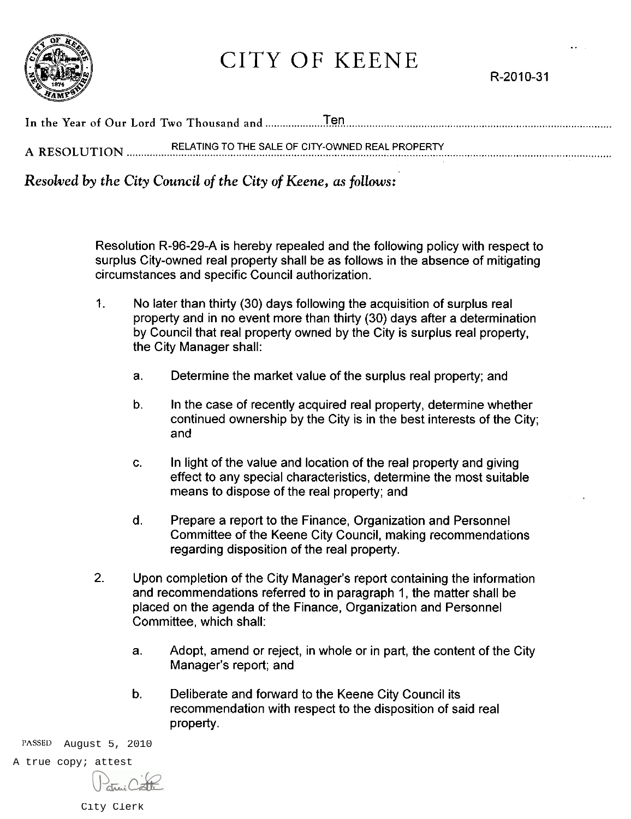

## CITY OF KEENE

R-2010-31

| A RESOLUTION | RELATING TO THE SALE OF CITY-OWNED REAL PROPERTY |  |  |
|--------------|--------------------------------------------------|--|--|

Resolved by the City Council of the City of Keene, as follows:

Resolution R-96-29-A is hereby repealed and the following policy with respect to surplus City-owned real property shall be as follows in the absence of mitigating circumstances and specific Council authorization.

- $\mathbf{1}$ . No later than thirty (30) days following the acquisition of surplus real property and in no event more than thirty (30) days after a determination by Council that real property owned by the City is surplus real property. the City Manager shall:
	- Determine the market value of the surplus real property; and  $a<sub>1</sub>$
	- In the case of recently acquired real property, determine whether b. continued ownership by the City is in the best interests of the City; and
	- In light of the value and location of the real property and giving  $C<sub>1</sub>$ effect to any special characteristics, determine the most suitable means to dispose of the real property; and
	- d. Prepare a report to the Finance, Organization and Personnel Committee of the Keene City Council, making recommendations regarding disposition of the real property.
- $2.$ Upon completion of the City Manager's report containing the information and recommendations referred to in paragraph 1, the matter shall be placed on the agenda of the Finance, Organization and Personnel Committee, which shall:
	- Adopt, amend or reject, in whole or in part, the content of the City a. Manager's report; and
	- Deliberate and forward to the Keene City Council its b. recommendation with respect to the disposition of said real property.

PASSED August 5, 2010

A true copy; attest

City Clerk